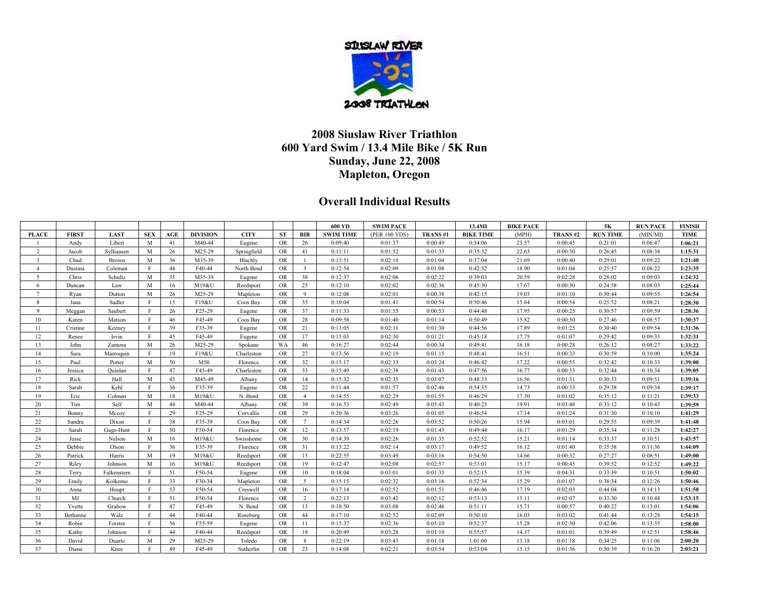

## **2008 Siuslaw River Triathlon 600 Yard Swim / 13.4 Mile Bike / 5K Run Sunday, June 22, 2008 Mapleton, Oregon**

## **Overall Individual Results**

|                          |              |             |              |     |                     |             |           |                | 600 YD           | <b>SWIM PACE</b> |                | 13.4MI           | <b>BIKE PACE</b> |         | 5Κ              | <b>RUN PACE</b> | <b>FINISH</b> |
|--------------------------|--------------|-------------|--------------|-----|---------------------|-------------|-----------|----------------|------------------|------------------|----------------|------------------|------------------|---------|-----------------|-----------------|---------------|
| <b>PLACE</b>             | <b>FIRST</b> | <b>LAST</b> | <b>SEX</b>   | AGE | <b>DIVISION</b>     | <b>CITY</b> | <b>ST</b> | BIB            | <b>SWIM TIME</b> | (PER 100 YDS)    | <b>TRANS#1</b> | <b>BIKE TIME</b> | (MPH)            | TRANS#2 | <b>RUN TIME</b> | (MIN/MI)        | TIME          |
|                          | Andy         | Libert      | M            | 41  | M40-44              | Eugene      | <b>OR</b> | 26             | 0:09:40          | 0:01:37          | 0:00:49        | 0:34:06          | 23.57            | 0:00:45 | 0:21:01         | 0:06:47         | 1:06:21       |
| $\overline{2}$           | Jacob        | Sylliaasen  | M            | 26  | M25-29              | Springfield | <b>OR</b> | 41             | 0:11:11          | 0:01:52          | 0:01:33        | 0:35:32          | 22.63            | 0:00:30 | 0:26:45         | 0:08:38         | 1:15:31       |
| $\overline{\mathcal{L}}$ | Chad         | Brown       | M            | 36  | M35-39              | Blachly     | <b>OR</b> |                | 0:13:51          | 0:02:18          | 0:01:04        | 0:37:04          | 21.69            | 0:00:40 | 0:29:01         | 0:09:22         | 1:21:40       |
| $\overline{4}$           | Dustina      | Coleman     | F            | 44  | F40-44              | North Bend  | OR        | $\overline{3}$ | 0:12:54          | 0:02:09          | 0:01:08        | 0:42:32          | 18.90            | 0:01:04 | 0:25:57         | 0:08:22         | 1:23:35       |
| 5                        | Chris        | Schultz     | M            | 35  | M35-39              | Eugene      | <b>OR</b> | 38             | 0:12:37          | 0:02:06          | 0:02:22        | 0:39:03          | 20.59            | 0:02:28 | 0:28:02         | 0:09:03         | 1:24:32       |
| 6                        | Duncan       | Law         | M            | 16  | M19&U               | Reedsport   | <b>OR</b> | 25             | 0:12:10          | 0:02:02          | 0:02:36        | 0:45:30          | 17.67            | 0:00:30 | 0:24:58         | 0:08:03         | 1:25:44       |
| $\overline{7}$           | Ryan         | Dutton      | M            | 26  | M25-29              | Mapleton    | <b>OR</b> | 9              | 0:12:08          | 0:02:01          | 0:00:38        | 0:42:15          | 19.03            | 0:01:10 | 0:30:44         | 0:09:55         | 1:26:54       |
| 8                        | Jana         | Sadler      | F            | 15  | F19&U               | Coos Bay    | <b>OR</b> | 35             | 0:10:04          | 0:01:41          | 0:00:54        | 0:50:46          | 15.84            | 0:00:54 | 0:25:52         | 0:08:21         | 1:28:30       |
| 9                        | Meggan       | Saubert     | $\mathbf{F}$ | 26  | F <sub>25</sub> -29 | Eugene      | <b>OR</b> | 37             | 0:11:33          | 0:01:55          | 0:00:53        | 0:44:48          | 17.95            | 0:00:25 | 0:30:57         | 0:09:59         | 1:28:36       |
| 10                       | Karen        | Matson      | F            | 46  | F45-49              | Coos Bay    | <b>OR</b> | 28             | 0:09:58          | 0:01:40          | 0:01:14        | 0:50:49          | 15.82            | 0:00:50 | 0:27:46         | 0:08:57         | 1:30:37       |
| 11                       | Cristine     | Keeney      | $\mathbf{F}$ | 39  | F35-39              | Eugene      | <b>OR</b> | 21             | 0:13:05          | 0:02:11          | 0:01:30        | 0:44:56          | 17.89            | 0:01:25 | 0:30:40         | 0:09:54         | 1:31:36       |
| 12                       | Renee        | Irvin       | F            | 45  | F45-49              | Eugene      | <b>OR</b> | 17             | 0:15:03          | 0:02:30          | 0:01:21        | 0:45:18          | 17.75            | 0:01:07 | 0:29:42         | 0:09:35         | 1:32:31       |
| 13                       | John         | Zamora      | M            | 26  | M25-29              | Spokane     | WA        | 46             | 0:16:27          | 0:02:44          | 0:00:34        | 0:49:41          | 16.18            | 0:00:28 | 0:26:12         | 0:08:27         | 1:33:22       |
| 14                       | Sara         | Marroquin   | $\mathbf{F}$ | 19  | F19&U               | Charleston  | <b>OR</b> | 27             | 0:13:56          | 0:02:19          | 0:01:15        | 0:48:41          | 16.51            | 0:00:33 | 0:30:59         | 0:10:00         | 1:35:24       |
| 15                       | Paul         | Potter      | M            | 50  | M50                 | Florence    | <b>OR</b> | 32             | 0:15:17          | 0:02:33          | 0:03:24        | 0:46:42          | 17.22            | 0:00:55 | 0:32:42         | 0:10:33         | 1:39:00       |
| 16                       | Jessica      | Ouinlan     | F            | 47  | F45-49              | Charleston  | <b>OR</b> | 33             | 0:15:49          | 0:02:38          | 0:01:43        | 0:47:56          | 16.77            | 0:00:53 | 0:32:44         | 0:10:34         | 1:39:05       |
| 17                       | Rick         | Hall        | $\mathbf{M}$ | 45  | M45-49              | Albany      | OR        | 14             | 0:15:32          | 0:02:35          | 0:03:07        | 0:48:33          | 16.56            | 0:01:31 | 0:30:33         | 0:09:51         | 1:39:16       |
| 18                       | Sarah        | Kehl        | F            | 36  | F35-39              | Eugene      | <b>OR</b> | 22             | 0:11:44          | 0:01:57          | 0:02:46        | 0:54:35          | 14.73            | 0:00:33 | 0:29:38         | 0:09:34         | 1:39:17       |
| 19                       | Eric         | Colman      | M            | 18  | M19&U               | N. Bend     | <b>OR</b> | $\overline{4}$ | 0:14:55          | 0:02:29          | 0:01:55        | 0:46:29          | 17.30            | 0:01:02 | 0:35:12         | 0:11:21         | 1:39:33       |
| 20                       | Tim          | Self        | M            | 44  | M40-44              | Albany      | <b>OR</b> | 39             | 0:16:53          | 0:02:49          | 0:05:43        | 0:40:23          | 19.91            | 0:03:48 | 0:33:12         | 0:10:43         | 1:39:59       |
| 21                       | Bonny        | Mccoy       | F            | 29  | F25-29              | Corvallis   | <b>OR</b> | 29             | 0:20:36          | 0:03:26          | 0:01:05        | 0:46:54          | 17.14            | 0:01:24 | 0:31:30         | 0:10:10         | 1:41:29       |
| 22                       | Sandra       | Dixon       | $\mathbf{F}$ | 38  | F35-39              | Coos Bay    | <b>OR</b> | $\tau$         | 0:14:34          | 0:02:26          | 0:03:52        | 0:50:26          | 15.94            | 0:03:01 | 0:29:55         | 0:09:39         | 1:41:48       |
| 23                       | Sarah        | Gage-Hunt   | $\mathbf{F}$ | 50  | F50-54              | Florence    | <b>OR</b> | 12             | 0:13:57          | 0:02:19          | 0:01:43        | 0:49:44          | 16.17            | 0:01:29 | 0:35:34         | 0:11:28         | 1:42:27       |
| 24                       | Jesse        | Nelson      | M            | 16  | M19&U               | Swisshome   | <b>OR</b> | 30             | 0:14:39          | 0:02:26          | 0:01:35        | 0:52:52          | 15.21            | 0:01:14 | 0:33:37         | 0:10:51         | 1:43:57       |
| 25                       | Debbie       | Olson       | F            | 36  | F35-39              | Florence    | <b>OR</b> | 31             | 0:13:22          | 0:02:14          | 0:03:17        | 0:49:52          | 16.12            | 0:01:40 | 0:35:58         | 0:11:36         | 1:44:09       |
| 26                       | Patrick      | Harris      | M            | 19  | M19&U               | Reedsport   | <b>OR</b> | 15             | 0:22:55          | 0:03:49          | 0:03:16        | 0:54:50          | 14.66            | 0:00:32 | 0:27:27         | 0:08:51         | 1:49:00       |
| 27                       | Riley        | Johnson     | M            | 16  | M19&U               | Reedsport   | <b>OR</b> | 19             | 0:12:47          | 0:02:08          | 0:02:57        | 0:53:01          | 15.17            | 0:00:45 | 0:39:52         | 0:12:52         | 1:49:22       |
| 28                       | Terry        | Falkenstern | F            | 51  | F50-54              | Eugene      | <b>OR</b> | 10             | 0:18:04          | 0:03:01          | 0:01:33        | 0:52:15          | 15.39            | 0:04:31 | 0:33:39         | 0:10:51         | 1:50:02       |
| 29                       | Emily        | Kolkemo     | F            | 33  | F30-34              | Mapleton    | <b>OR</b> | $5^{\circ}$    | 0:15:15          | 0:02:32          | 0:03:16        | 0:52:34          | 15.29            | 0:01:07 | 0:38:34         | 0:12:26         | 1:50:46       |
| 30                       | Anna         | Houpt       | F            | 53  | F50-54              | Creswell    | <b>OR</b> | 16             | 0:17:14          | 0:02:52          | 0:01:51        | 0:46:46          | 17.19            | 0:02:03 | 0:44:04         | 0:14:13         | 1:51:58       |
| 31                       | MJ           | Church      | F            | 51  | F50-54              | Florence    | <b>OR</b> | $\overline{2}$ | 0:22:13          | 0:03:42          | 0:02:12        | 0:53:13          | 15.11            | 0:02:07 | 0:33:30         | 0:10:48         | 1:53:15       |
| 32                       | Yvette       | Grabow      | F            | 47  | F45-49              | N. Bend     | <b>OR</b> | 13             | 0:18:50          | 0:03:08          | 0:02:46        | 0:51:11          | 15.71            | 0:00:57 | 0:40:22         | 0:13:01         | 1:54:06       |
| 33                       | Bethanne     | Walz        | F            | 44  | F40-44              | Roseburg    | <b>OR</b> | 44             | 0:17:10          | 0:02:52          | 0:02:09        | 0:50:10          | 16.03            | 0:03:02 | 0:41:44         | 0:13:28         | 1:54:15       |
| 34                       | Robin        | Forster     | $\mathbf{F}$ | 56  | F55-59              | Eugene      | <b>OR</b> | 11             | 0:15:37          | 0:02:36          | 0:05:10        | 0:52:37          | 15.28            | 0:02:30 | 0:42:06         | 0:13:35         | 1:58:00       |
| 35                       | Kathy        | Johnson     | F            | 44  | F40-44              | Reedsport   | <b>OR</b> | 18             | 0:20:49          | 0:03:28          | 0:01:10        | 0:55:57          | 14.37            | 0:01:01 | 0:39:49         | 0:12:51         | 1:58:46       |
| 36                       | David        | Duarte      | M            | 29  | M25-29              | Toledo      | <b>OR</b> | 8              | 0:22:19          | 0:03:43          | 0:01:18        | 1:01:00          | 13.18            | 0:01:18 | 0:34:25         | 0:11:06         | 2:00:20       |
| 37                       | Diana        | Knee        | F            | 49  | F45-49              | Sutherlin   | <b>OR</b> | 23             | 0:14:08          | 0:02:21          | 0:03:54        | 0:53:04          | 15.15            | 0:01:36 | 0:50:39         | 0:16:20         | 2:03:21       |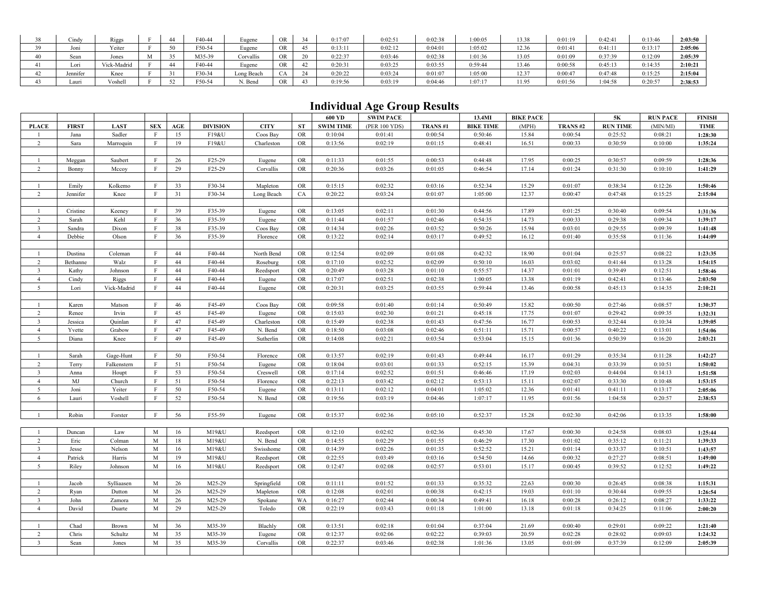| 38       | Cindy    | R <sub>1ggs</sub> |   | $40-44$ | Eugene     | OR        | 0:17:07 | 0:02:51 | :02:38  | :00:05  | 13.38 | 0:01:19 | 0:42:41 | 0:13:46           | 2:03:50 |
|----------|----------|-------------------|---|---------|------------|-----------|---------|---------|---------|---------|-------|---------|---------|-------------------|---------|
| 39       | Joni     | Yeiter            |   | F50-54  | Eugene     | <b>OR</b> | 0:13:11 | 0:02:12 | 0:04:01 | 1:05:02 | 12.36 | 0:01:41 | 0:41:1  | 0:13:17           | 2:05:06 |
| 40       | Sean     | Jones             | M | M35-39  | Corvallis  | <b>OR</b> | 0:22:37 | 0:03:46 | 1:02:38 | :01:36  | 13.05 | 0:01:09 | 0:37:39 | 0:12:09           | 2:05:39 |
|          | Lori     | Vick-Madrid       |   | F40-44  | Eugene     | OR        | 0:20:3  | 0:03:25 | J:03:55 | 0:59:44 | 13.46 | 0:00:58 | 0:45:13 | 0:14:35           | 2:10:21 |
| $\Delta$ | Jennifer | Knee              |   | F30-34  | Long Beach |           | 0:20:22 | 0:03:24 | 0:01:07 | 1:05:00 | 12.37 | 0:00:47 | 0:47:48 | 0:15:25           | 2:15:04 |
|          | Lauri    | Voshell           |   | F50-54  | N. Benc    | <b>OR</b> | 0:19:56 | 0:03:19 | 1:04:46 | 1:07:17 | 11.95 | 0:01:56 | 1:04:58 | 0.20.57<br>U.∠U.J | 2:38:53 |

## **Individual Age Group Results**

|                          |              |             |              |     |                     |             |                         | 600 YD           | <b>SWIM PACE</b> |         | 13.4MI           | <b>BIKE PACE</b> |         | 5Κ              | <b>RUN PACE</b> | <b>FINISH</b> |
|--------------------------|--------------|-------------|--------------|-----|---------------------|-------------|-------------------------|------------------|------------------|---------|------------------|------------------|---------|-----------------|-----------------|---------------|
| <b>PLACE</b>             | <b>FIRST</b> | <b>LAST</b> | <b>SEX</b>   | AGE | <b>DIVISION</b>     | <b>CITY</b> | <b>ST</b>               | <b>SWIM TIME</b> | (PER 100 YDS)    | TRANS#1 | <b>BIKE TIME</b> | (MPH)            | TRANS#2 | <b>RUN TIME</b> | (MIN/MI)        | <b>TIME</b>   |
| $\mathbf{1}$             | Jana         | Sadler      | $\mathbf{F}$ | 15  | F19&U               | Coos Bay    | OR                      | 0:10:04          | 0:01:41          | 0:00:54 | 0:50:46          | 15.84            | 0:00:54 | 0:25:52         | 0:08:21         | 1:28:30       |
| $\overline{2}$           | Sara         | Marroquin   | $\mathbf{F}$ | 19  | F19&U               | Charleston  | OR                      | 0:13:56          | 0:02:19          | 0:01:15 | 0:48:41          | 16.51            | 0:00:33 | 0:30:59         | 0:10:00         | 1:35:24       |
|                          |              |             |              |     |                     |             |                         |                  |                  |         |                  |                  |         |                 |                 |               |
|                          | Meggan       | Saubert     | $\mathbf{F}$ | 26  | F <sub>25</sub> -29 | Eugene      | OR                      | 0:11:33          | 0:01:55          | 0:00:53 | 0:44:48          | 17.95            | 0:00:25 | 0:30:57         | 0:09:59         | 1:28:36       |
| $\overline{2}$           | Bonny        | Mccoy       | $\mathbf{F}$ | 29  | F25-29              | Corvallis   | <b>OR</b>               | 0:20:36          | 0:03:26          | 0:01:05 | 0:46:54          | 17.14            | 0:01:24 | 0:31:30         | 0:10:10         | 1:41:29       |
|                          |              |             |              |     |                     |             |                         |                  |                  |         |                  |                  |         |                 |                 |               |
| $\mathbf{1}$             | Emily        | Kolkemo     | $\mathbf{F}$ | 33  | F30-34              | Mapleton    | <b>OR</b>               | 0:15:15          | 0:02:32          | 0:03:16 | 0:52:34          | 15.29            | 0:01:07 | 0:38:34         | 0:12:26         | 1:50:46       |
| $\overline{c}$           | Jennifer     | Knee        | $\mathbf{F}$ | 31  | F30-34              | Long Beach  | CA                      | 0:20:22          | 0:03:24          | 0:01:07 | 1:05:00          | 12.37            | 0:00:47 | 0:47:48         | 0:15:25         | 2:15:04       |
|                          |              |             |              |     |                     |             |                         |                  |                  |         |                  |                  |         |                 |                 |               |
| $\mathbf{1}$             | Cristine     | Keeney      | $\rm F$      | 39  | F35-39              | Eugene      | <b>OR</b>               | 0:13:05          | 0:02:11          | 0:01:30 | 0:44:56          | 17.89            | 0:01:25 | 0:30:40         | 0:09:54         | 1:31:36       |
| $\overline{2}$           | Sarah        | Kehl        | $\rm F$      | 36  | F35-39              | Eugene      | <b>OR</b>               | 0:11:44          | 0:01:57          | 0:02:46 | 0:54:35          | 14.73            | 0:00:33 | 0:29:38         | 0:09:34         | 1:39:17       |
| $\overline{3}$           | Sandra       | Dixon       | $\mathbf{F}$ | 38  | F35-39              | Coos Bay    | <b>OR</b>               | 0:14:34          | 0:02:26          | 0:03:52 | 0:50:26          | 15.94            | 0:03:01 | 0:29:55         | 0:09:39         | 1:41:48       |
| $\overline{4}$           | Debbie       | Olson       | $\rm F$      | 36  | F35-39              | Florence    | OR                      | 0:13:22          | 0:02:14          | 0:03:17 | 0:49:52          | 16.12            | 0:01:40 | 0:35:58         | 0:11:36         | 1:44:09       |
|                          |              |             |              |     |                     |             |                         |                  |                  |         |                  |                  |         |                 |                 |               |
| $\mathbf{1}$             | Dustina      | Coleman     | F            | 44  | F40-44              | North Bend  | <b>OR</b>               | 0:12:54          | 0:02:09          | 0:01:08 | 0:42:32          | 18.90            | 0:01:04 | 0:25:57         | 0:08:22         | 1:23:35       |
| $\overline{2}$           | Bethanne     | Walz        | $\mathbf{F}$ | 44  | F40-44              | Roseburg    | OR                      | 0:17:10          | 0:02:52          | 0:02:09 | 0:50:10          | 16.03            | 0:03:02 | 0:41:44         | 0:13:28         | 1:54:15       |
| $\overline{3}$           | Kathy        | Johnson     | $\rm F$      | 44  | F40-44              | Reedsport   | <b>OR</b>               | 0:20:49          | 0:03:28          | 0:01:10 | 0:55:57          | 14.37            | 0:01:01 | 0:39:49         | 0:12:51         | 1:58:46       |
| $\overline{4}$           | Cindy        | Riggs       | $\mathbf{F}$ | 44  | F40-44              | Eugene      | ${\rm OR}$              | 0:17:07          | 0:02:51          | 0:02:38 | 1:00:05          | 13.38            | 0:01:19 | 0:42:41         | 0:13:46         | 2:03:50       |
| 5                        | Lori         | Vick-Madrid | $\rm F$      | 44  | F40-44              | Eugene      | OR                      | 0:20:31          | 0:03:25          | 0:03:55 | 0:59:44          | 13.46            | 0:00:58 | 0:45:13         | 0:14:35         | 2:10:21       |
|                          |              |             |              |     |                     |             |                         |                  |                  |         |                  |                  |         |                 |                 |               |
|                          | Karen        | Matson      | $\rm F$      | 46  | F45-49              | Coos Bay    | OR                      | 0:09:58          | 0:01:40          | 0:01:14 | 0:50:49          | 15.82            | 0:00:50 | 0:27:46         | 0:08:57         | 1:30:37       |
| $\overline{2}$           | Renee        | Irvin       | F            | 45  | F45-49              | Eugene      | OR                      | 0:15:03          | 0:02:30          | 0:01:21 | 0:45:18          | 17.75            | 0:01:07 | 0:29:42         | 0:09:35         | 1:32:31       |
| $\overline{\mathcal{L}}$ | Jessica      | Quinlan     | $\mathbf{F}$ | 47  | F45-49              | Charleston  | ${\rm OR}$              | 0:15:49          | 0:02:38          | 0:01:43 | 0:47:56          | 16.77            | 0:00:53 | 0:32:44         | 0:10:34         | 1:39:05       |
| $\overline{4}$           | Yvette       | Grabow      | $\mathbf{F}$ | 47  | F45-49              | N. Bend     | <b>OR</b>               | 0:18:50          | 0:03:08          | 0:02:46 | 0:51:11          | 15.71            | 0:00:57 | 0:40:22         | 0:13:01         | 1:54:06       |
| 5 <sup>5</sup>           | Diana        | Knee        | $\mathbf{F}$ | 49  | F45-49              | Sutherlin   | <b>OR</b>               | 0:14:08          | 0:02:21          | 0:03:54 | 0:53:04          | 15.15            | 0:01:36 | 0:50:39         | 0:16:20         | 2:03:21       |
|                          |              |             |              |     |                     |             |                         |                  |                  |         |                  |                  |         |                 |                 |               |
| $\mathbf{1}$             | Sarah        | Gage-Hunt   | $\mathbf{F}$ | 50  | F50-54              | Florence    | <b>OR</b>               | 0:13:57          | 0:02:19          | 0:01:43 | 0:49:44          | 16.17            | 0:01:29 | 0:35:34         | 0:11:28         | 1:42:27       |
| $\overline{c}$           | Terry        | Falkenstern | $\rm F$      | 51  | F50-54              | Eugene      | OR                      | 0:18:04          | 0:03:01          | 0:01:33 | 0:52:15          | 15.39            | 0:04:31 | 0:33:39         | 0:10:51         | 1:50:02       |
| $\overline{\mathbf{3}}$  | Anna         | Houpt       | $\mathbf{F}$ | 53  | F50-54              | Creswell    | <b>OR</b>               | 0:17:14          | 0:02:52          | 0:01:51 | 0:46:46          | 17.19            | 0:02:03 | 0:44:04         | 0:14:13         | 1:51:58       |
| $\overline{4}$           | MJ           | Church      | $\rm F$      | 51  | F50-54              | Florence    | <b>OR</b>               | 0:22:13          | 0:03:42          | 0:02:12 | 0:53:13          | 15.11            | 0:02:07 | 0:33:30         | 0:10:48         | 1:53:15       |
| $5\overline{)}$          | Joni         | Yeiter      | $\mathbf{F}$ | 50  | F50-54              | Eugene      | <b>OR</b>               | 0:13:11          | 0:02:12          | 0:04:01 | 1:05:02          | 12.36            | 0:01:41 | 0:41:11         | 0:13:17         | 2:05:06       |
| 6                        | Lauri        | Voshell     | $\rm F$      | 52  | F50-54              | N. Bend     | <b>OR</b>               | 0:19:56          | 0:03:19          | 0:04:46 | 1:07:17          | 11.95            | 0:01:56 | 1:04:58         | 0:20:57         | 2:38:53       |
|                          |              |             |              |     |                     |             |                         |                  |                  |         |                  |                  |         |                 |                 |               |
|                          | Robin        | Forster     | $\mathbf{F}$ | 56  | F55-59              | Eugene      | OR                      | 0:15:37          | 0:02:36          | 0:05:10 | 0:52:37          | 15.28            | 0:02:30 | 0:42:06         | 0:13:35         | 1:58:00       |
|                          |              |             |              |     |                     |             |                         |                  |                  |         |                  |                  |         |                 |                 |               |
| $\mathbf{1}$             | Duncan       | Law         | M            | 16  | M19&U               | Reedsport   | $\mathcal{O}\mathbb{R}$ | 0:12:10          | 0:02:02          | 0:02:36 | 0:45:30          | 17.67            | 0:00:30 | 0:24:58         | 0:08:03         | 1:25:44       |
| $\overline{2}$           | Eric         | Colman      | M            | 18  | M19&U               | N. Bend     | <b>OR</b>               | 0:14:55          | 0:02:29          | 0:01:55 | 0:46:29          | 17.30            | 0:01:02 | 0:35:12         | 0:11:21         | 1:39:33       |
| $\overline{\mathbf{3}}$  | Jesse        | Nelson      | M            | 16  | M19&U               | Swisshome   | ${\rm OR}$              | 0:14:39          | 0:02:26          | 0:01:35 | 0:52:52          | 15.21            | 0:01:14 | 0:33:37         | 0:10:51         | 1:43:57       |
| $\overline{4}$           | Patrick      | Harris      | M            | 19  | M19&U               | Reedsport   | OR                      | 0:22:55          | 0:03:49          | 0:03:16 | 0:54:50          | 14.66            | 0:00:32 | 0:27:27         | 0:08:51         | 1:49:00       |
| 5 <sup>5</sup>           | Riley        | Johnson     | M            | 16  | M19&U               | Reedsport   | <b>OR</b>               | 0:12:47          | 0:02:08          | 0:02:57 | 0:53:01          | 15.17            | 0:00:45 | 0:39:52         | 0:12:52         | 1:49:22       |
|                          |              |             |              |     |                     |             |                         |                  |                  |         |                  |                  |         |                 |                 |               |
|                          | Jacob        | Sylliaasen  | M            | 26  | M25-29              | Springfield | <b>OR</b>               | 0:11:11          | 0:01:52          | 0:01:33 | 0:35:32          | 22.63            | 0:00:30 | 0:26:45         | 0:08:38         | 1:15:31       |
| $\overline{c}$           | Ryan         | Dutton      | M            | 26  | M25-29              | Mapleton    | $\mathcal{O}\mathbb{R}$ | 0:12:08          | 0:02:01          | 0:00:38 | 0:42:15          | 19.03            | 0:01:10 | 0:30:44         | 0:09:55         | 1:26:54       |
| $\overline{3}$           | John         | Zamora      | M            | 26  | M25-29              | Spokane     | WA                      | 0:16:27          | 0:02:44          | 0:00:34 | 0:49:41          | 16.18            | 0:00:28 | 0:26:12         | 0:08:27         | 1:33:22       |
| $\overline{4}$           | David        | Duarte      | M            | 29  | M25-29              | Toledo      | <b>OR</b>               | 0:22:19          | 0:03:43          | 0:01:18 | 1:01:00          | 13.18            | 0:01:18 | 0:34:25         | 0:11:06         | 2:00:20       |
|                          |              |             |              |     |                     |             |                         |                  |                  |         |                  |                  |         |                 |                 |               |
| $\mathbf{1}$             | Chad         | Brown       | M            | 36  | M35-39              | Blachly     | <b>OR</b>               | 0:13:51          | 0:02:18          | 0:01:04 | 0:37:04          | 21.69            | 0:00:40 | 0:29:01         | 0:09:22         | 1:21:40       |
| $\overline{2}$           | Chris        | Schultz     | M            | 35  | M35-39              | Eugene      | ${\rm OR}$              | 0:12:37          | 0:02:06          | 0:02:22 | 0:39:03          | 20.59            | 0:02:28 | 0:28:02         | 0:09:03         | 1:24:32       |
| $\overline{3}$           | Sean         | Jones       | $\mathbf M$  | 35  | M35-39              | Corvallis   | OR                      | 0:22:37          | 0:03:46          | 0:02:38 | 1:01:36          | 13.05            | 0:01:09 | 0:37:39         | 0:12:09         | 2:05:39       |
|                          |              |             |              |     |                     |             |                         |                  |                  |         |                  |                  |         |                 |                 |               |